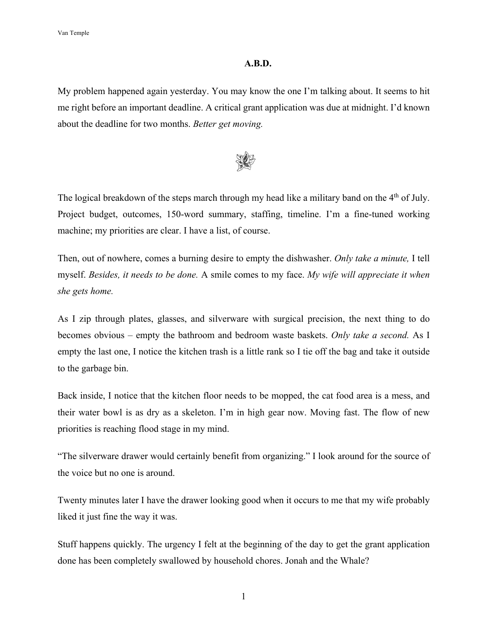## **A.B.D.**

My problem happened again yesterday. You may know the one I'm talking about. It seems to hit me right before an important deadline. A critical grant application was due at midnight. I'd known about the deadline for two months. *Better get moving.*



The logical breakdown of the steps march through my head like a military band on the 4<sup>th</sup> of July. Project budget, outcomes, 150-word summary, staffing, timeline. I'm a fine-tuned working machine; my priorities are clear. I have a list, of course.

Then, out of nowhere, comes a burning desire to empty the dishwasher. *Only take a minute,* I tell myself. *Besides, it needs to be done.* A smile comes to my face. *My wife will appreciate it when she gets home.* 

As I zip through plates, glasses, and silverware with surgical precision, the next thing to do becomes obvious – empty the bathroom and bedroom waste baskets. *Only take a second.* As I empty the last one, I notice the kitchen trash is a little rank so I tie off the bag and take it outside to the garbage bin.

Back inside, I notice that the kitchen floor needs to be mopped, the cat food area is a mess, and their water bowl is as dry as a skeleton. I'm in high gear now. Moving fast. The flow of new priorities is reaching flood stage in my mind.

"The silverware drawer would certainly benefit from organizing." I look around for the source of the voice but no one is around.

Twenty minutes later I have the drawer looking good when it occurs to me that my wife probably liked it just fine the way it was.

Stuff happens quickly. The urgency I felt at the beginning of the day to get the grant application done has been completely swallowed by household chores. Jonah and the Whale?

1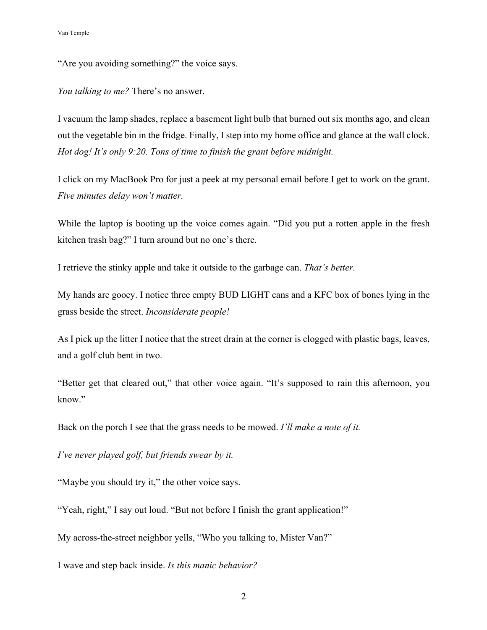"Are you avoiding something?" the voice says.

*You talking to me?* There's no answer.

I vacuum the lamp shades, replace a basement light bulb that burned out six months ago, and clean out the vegetable bin in the fridge. Finally, I step into my home office and glance at the wall clock. *Hot dog! It's only 9:20. Tons of time to finish the grant before midnight.* 

I click on my MacBook Pro for just a peek at my personal email before I get to work on the grant. *Five minutes delay won't matter.*

While the laptop is booting up the voice comes again. "Did you put a rotten apple in the fresh kitchen trash bag?" I turn around but no one's there.

I retrieve the stinky apple and take it outside to the garbage can. *That's better.*

My hands are gooey. I notice three empty BUD LIGHT cans and a KFC box of bones lying in the grass beside the street. *Inconsiderate people!*

As I pick up the litter I notice that the street drain at the corner is clogged with plastic bags, leaves, and a golf club bent in two.

"Better get that cleared out," that other voice again. "It's supposed to rain this afternoon, you know."

Back on the porch I see that the grass needs to be mowed. *I'll make a note of it.*

*I've never played golf, but friends swear by it.* 

"Maybe you should try it," the other voice says.

"Yeah, right," I say out loud. "But not before I finish the grant application!"

My across-the-street neighbor yells, "Who you talking to, Mister Van?"

I wave and step back inside. *Is this manic behavior?*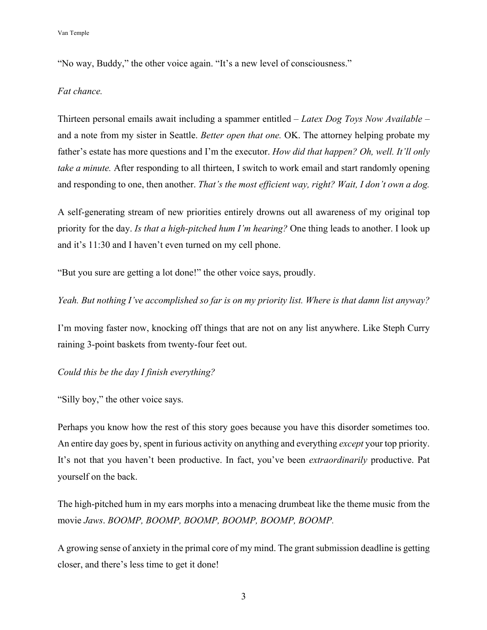"No way, Buddy," the other voice again. "It's a new level of consciousness."

## *Fat chance.*

Thirteen personal emails await including a spammer entitled – *Latex Dog Toys Now Available* – and a note from my sister in Seattle. *Better open that one.* OK. The attorney helping probate my father's estate has more questions and I'm the executor. *How did that happen? Oh, well. It'll only take a minute.* After responding to all thirteen, I switch to work email and start randomly opening and responding to one, then another. *That's the most efficient way, right? Wait, I don't own a dog.* 

A self-generating stream of new priorities entirely drowns out all awareness of my original top priority for the day. *Is that a high-pitched hum I'm hearing?* One thing leads to another. I look up and it's 11:30 and I haven't even turned on my cell phone.

"But you sure are getting a lot done!" the other voice says, proudly.

*Yeah. But nothing I've accomplished so far is on my priority list. Where is that damn list anyway?* 

I'm moving faster now, knocking off things that are not on any list anywhere. Like Steph Curry raining 3-point baskets from twenty-four feet out.

*Could this be the day I finish everything?* 

"Silly boy," the other voice says.

Perhaps you know how the rest of this story goes because you have this disorder sometimes too. An entire day goes by, spent in furious activity on anything and everything *except* your top priority. It's not that you haven't been productive. In fact, you've been *extraordinarily* productive. Pat yourself on the back.

The high-pitched hum in my ears morphs into a menacing drumbeat like the theme music from the movie *Jaws*. *BOOMP, BOOMP, BOOMP, BOOMP, BOOMP, BOOMP.* 

A growing sense of anxiety in the primal core of my mind. The grant submission deadline is getting closer, and there's less time to get it done!